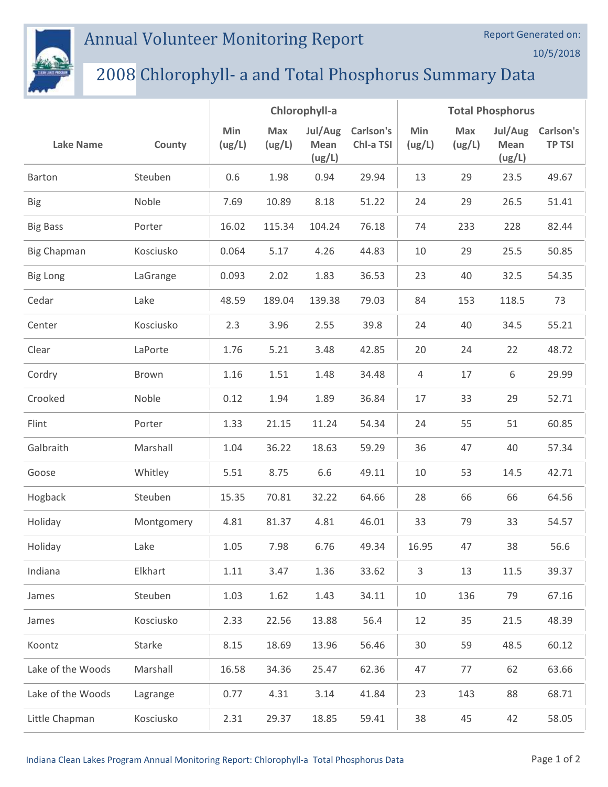

## Annual Volunteer Monitoring Report

## 2008 Chlorophyll- a and Total Phosphorus Summary Data

|                    |            | Chlorophyll-a |               |                           | <b>Total Phosphorus</b> |                |               |                           |                            |
|--------------------|------------|---------------|---------------|---------------------------|-------------------------|----------------|---------------|---------------------------|----------------------------|
| <b>Lake Name</b>   | County     | Min<br>(ug/L) | Max<br>(ug/L) | Jul/Aug<br>Mean<br>(ug/L) | Carlson's<br>Chl-a TSI  | Min<br>(ug/L)  | Max<br>(ug/L) | Jul/Aug<br>Mean<br>(ug/L) | Carlson's<br><b>TP TSI</b> |
| <b>Barton</b>      | Steuben    | 0.6           | 1.98          | 0.94                      | 29.94                   | 13             | 29            | 23.5                      | 49.67                      |
| <b>Big</b>         | Noble      | 7.69          | 10.89         | 8.18                      | 51.22                   | 24             | 29            | 26.5                      | 51.41                      |
| <b>Big Bass</b>    | Porter     | 16.02         | 115.34        | 104.24                    | 76.18                   | 74             | 233           | 228                       | 82.44                      |
| <b>Big Chapman</b> | Kosciusko  | 0.064         | 5.17          | 4.26                      | 44.83                   | 10             | 29            | 25.5                      | 50.85                      |
| <b>Big Long</b>    | LaGrange   | 0.093         | 2.02          | 1.83                      | 36.53                   | 23             | 40            | 32.5                      | 54.35                      |
| Cedar              | Lake       | 48.59         | 189.04        | 139.38                    | 79.03                   | 84             | 153           | 118.5                     | 73                         |
| Center             | Kosciusko  | 2.3           | 3.96          | 2.55                      | 39.8                    | 24             | 40            | 34.5                      | 55.21                      |
| Clear              | LaPorte    | 1.76          | 5.21          | 3.48                      | 42.85                   | 20             | 24            | 22                        | 48.72                      |
| Cordry             | Brown      | 1.16          | 1.51          | 1.48                      | 34.48                   | $\overline{4}$ | 17            | 6                         | 29.99                      |
| Crooked            | Noble      | 0.12          | 1.94          | 1.89                      | 36.84                   | 17             | 33            | 29                        | 52.71                      |
| Flint              | Porter     | 1.33          | 21.15         | 11.24                     | 54.34                   | 24             | 55            | 51                        | 60.85                      |
| Galbraith          | Marshall   | 1.04          | 36.22         | 18.63                     | 59.29                   | 36             | 47            | 40                        | 57.34                      |
| Goose              | Whitley    | 5.51          | 8.75          | 6.6                       | 49.11                   | 10             | 53            | 14.5                      | 42.71                      |
| Hogback            | Steuben    | 15.35         | 70.81         | 32.22                     | 64.66                   | 28             | 66            | 66                        | 64.56                      |
| Holiday            | Montgomery | 4.81          | 81.37         | 4.81                      | 46.01                   | 33             | 79            | 33                        | 54.57                      |
| Holiday            | Lake       | 1.05          | 7.98          | 6.76                      | 49.34                   | 16.95          | 47            | 38                        | 56.6                       |
| Indiana            | Elkhart    | 1.11          | 3.47          | 1.36                      | 33.62                   | 3              | 13            | 11.5                      | 39.37                      |
| James              | Steuben    | 1.03          | 1.62          | 1.43                      | 34.11                   | 10             | 136           | 79                        | 67.16                      |
| James              | Kosciusko  | 2.33          | 22.56         | 13.88                     | 56.4                    | 12             | 35            | 21.5                      | 48.39                      |
| Koontz             | Starke     | 8.15          | 18.69         | 13.96                     | 56.46                   | 30             | 59            | 48.5                      | 60.12                      |
| Lake of the Woods  | Marshall   | 16.58         | 34.36         | 25.47                     | 62.36                   | 47             | 77            | 62                        | 63.66                      |
| Lake of the Woods  | Lagrange   | 0.77          | 4.31          | 3.14                      | 41.84                   | 23             | 143           | 88                        | 68.71                      |
| Little Chapman     | Kosciusko  | 2.31          | 29.37         | 18.85                     | 59.41                   | 38             | 45            | 42                        | 58.05                      |